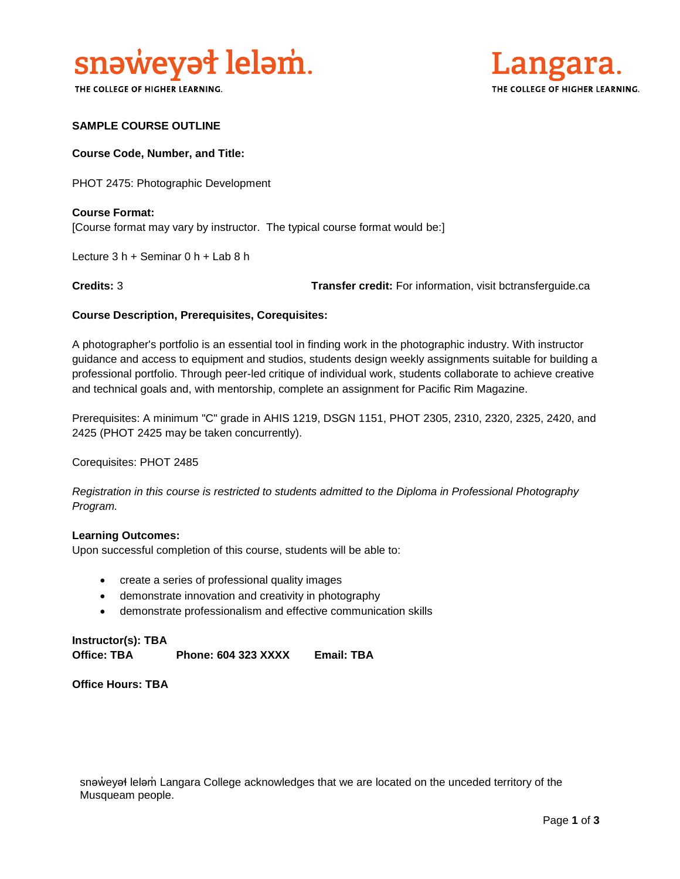

THE COLLEGE OF HIGHER LEARNING.



#### **SAMPLE COURSE OUTLINE**

#### **Course Code, Number, and Title:**

PHOT 2475: Photographic Development

**Course Format:** [Course format may vary by instructor. The typical course format would be:]

Lecture 3 h + Seminar 0 h + Lab 8 h

**Credits:** 3 **Transfer credit:** For information, visit bctransferguide.ca

#### **Course Description, Prerequisites, Corequisites:**

A photographer's portfolio is an essential tool in finding work in the photographic industry. With instructor guidance and access to equipment and studios, students design weekly assignments suitable for building a professional portfolio. Through peer-led critique of individual work, students collaborate to achieve creative and technical goals and, with mentorship, complete an assignment for Pacific Rim Magazine.

Prerequisites: A minimum "C" grade in AHIS 1219, DSGN 1151, PHOT 2305, 2310, 2320, 2325, 2420, and 2425 (PHOT 2425 may be taken concurrently).

Corequisites: PHOT 2485

*Registration in this course is restricted to students admitted to the Diploma in Professional Photography Program.*

#### **Learning Outcomes:**

Upon successful completion of this course, students will be able to:

- create a series of professional quality images
- demonstrate innovation and creativity in photography
- demonstrate professionalism and effective communication skills

**Instructor(s): TBA Office: TBA Phone: 604 323 XXXX Email: TBA**

**Office Hours: TBA** 

snəweyał leləm Langara College acknowledges that we are located on the unceded territory of the Musqueam people.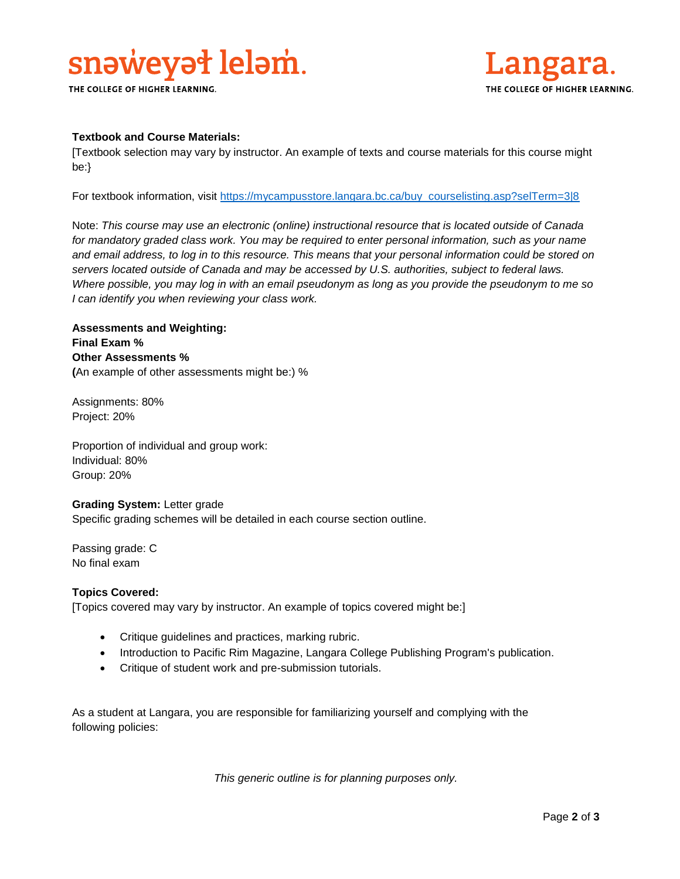# snaweyat lelam.

THE COLLEGE OF HIGHER LEARNING.



#### **Textbook and Course Materials:**

[Textbook selection may vary by instructor. An example of texts and course materials for this course might be:}

For textbook information, visit [https://mycampusstore.langara.bc.ca/buy\\_courselisting.asp?selTerm=3|8](https://mycampusstore.langara.bc.ca/buy_courselisting.asp?selTerm=3|8)

Note: *This course may use an electronic (online) instructional resource that is located outside of Canada*  for mandatory graded class work. You may be required to enter personal information, such as your name *and email address, to log in to this resource. This means that your personal information could be stored on servers located outside of Canada and may be accessed by U.S. authorities, subject to federal laws. Where possible, you may log in with an email pseudonym as long as you provide the pseudonym to me so I can identify you when reviewing your class work.* 

### **Assessments and Weighting: Final Exam % Other Assessments % (**An example of other assessments might be:) %

Assignments: 80% Project: 20%

Proportion of individual and group work: Individual: 80% Group: 20%

#### **Grading System:** Letter grade

Specific grading schemes will be detailed in each course section outline.

Passing grade: C No final exam

#### **Topics Covered:**

[Topics covered may vary by instructor. An example of topics covered might be:]

- Critique guidelines and practices, marking rubric.
- Introduction to Pacific Rim Magazine, Langara College Publishing Program's publication.
- Critique of student work and pre-submission tutorials.

As a student at Langara, you are responsible for familiarizing yourself and complying with the following policies:

*This generic outline is for planning purposes only.*